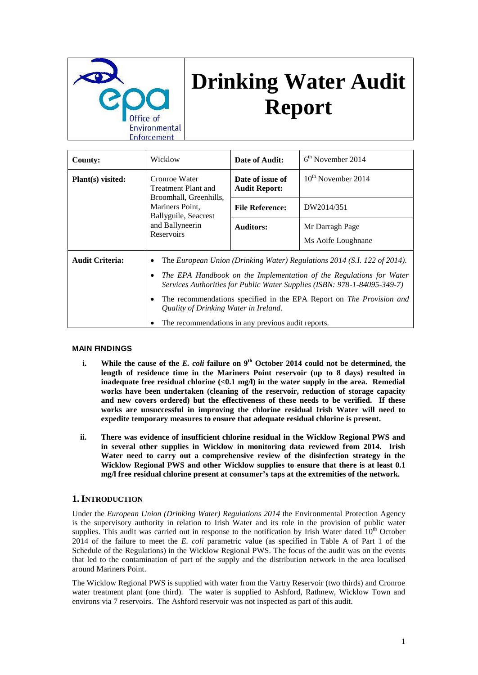

# **Drinking Water Audit Report**

| <b>County:</b>         | Wicklow                                                                                                                                                                                                                                                                                                                                                                                                                  | Date of Audit:                           | $6th$ November 2014                   |
|------------------------|--------------------------------------------------------------------------------------------------------------------------------------------------------------------------------------------------------------------------------------------------------------------------------------------------------------------------------------------------------------------------------------------------------------------------|------------------------------------------|---------------------------------------|
| Plant(s) visited:      | Cronroe Water<br>Treatment Plant and<br>Broomhall, Greenhills,<br>Mariners Point.<br>Ballyguile, Seacrest<br>and Ballyneerin<br><b>Reservoirs</b>                                                                                                                                                                                                                                                                        | Date of issue of<br><b>Audit Report:</b> | $10^{th}$ November 2014               |
|                        |                                                                                                                                                                                                                                                                                                                                                                                                                          | <b>File Reference:</b>                   | DW2014/351                            |
|                        |                                                                                                                                                                                                                                                                                                                                                                                                                          | <b>Auditors:</b>                         | Mr Darragh Page<br>Ms Aoife Loughnane |
| <b>Audit Criteria:</b> | The European Union (Drinking Water) Regulations 2014 (S.I. 122 of 2014).<br>٠<br>The EPA Handbook on the Implementation of the Regulations for Water<br>٠<br>Services Authorities for Public Water Supplies (ISBN: 978-1-84095-349-7)<br>The recommendations specified in the EPA Report on <i>The Provision and</i><br>٠<br>Quality of Drinking Water in Ireland.<br>The recommendations in any previous audit reports. |                                          |                                       |

## **MAIN FINDINGS**

- **i. While the cause of the** *E. coli* **failure on 9th October 2014 could not be determined, the length of residence time in the Mariners Point reservoir (up to 8 days) resulted in inadequate free residual chlorine (<0.1 mg/l) in the water supply in the area. Remedial works have been undertaken (cleaning of the reservoir, reduction of storage capacity and new covers ordered) but the effectiveness of these needs to be verified. If these works are unsuccessful in improving the chlorine residual Irish Water will need to expedite temporary measures to ensure that adequate residual chlorine is present.**
- **ii. There was evidence of insufficient chlorine residual in the Wicklow Regional PWS and in several other supplies in Wicklow in monitoring data reviewed from 2014. Irish Water need to carry out a comprehensive review of the disinfection strategy in the Wicklow Regional PWS and other Wicklow supplies to ensure that there is at least 0.1 mg/l free residual chlorine present at consumer's taps at the extremities of the network.**

## **1. INTRODUCTION**

Under the *European Union (Drinking Water) Regulations 2014* the Environmental Protection Agency is the supervisory authority in relation to Irish Water and its role in the provision of public water supplies. This audit was carried out in response to the notification by Irish Water dated  $10<sup>th</sup>$  October 2014 of the failure to meet the *E. coli* parametric value (as specified in Table A of Part 1 of the Schedule of the Regulations) in the Wicklow Regional PWS. The focus of the audit was on the events that led to the contamination of part of the supply and the distribution network in the area localised around Mariners Point.

The Wicklow Regional PWS is supplied with water from the Vartry Reservoir (two thirds) and Cronroe water treatment plant (one third). The water is supplied to Ashford, Rathnew, Wicklow Town and environs via 7 reservoirs. The Ashford reservoir was not inspected as part of this audit.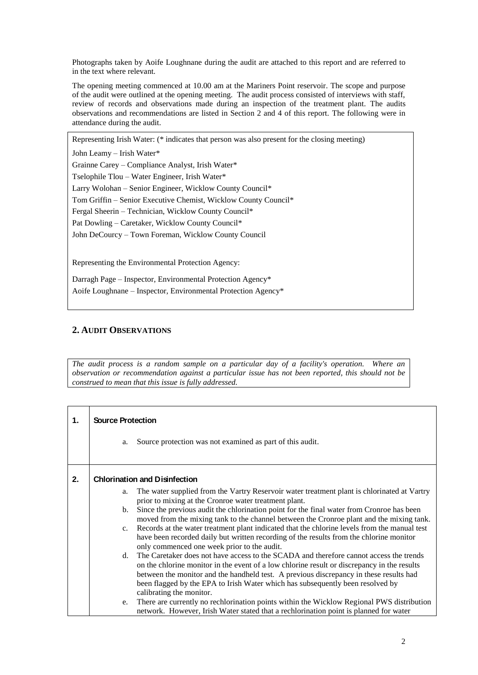Photographs taken by Aoife Loughnane during the audit are attached to this report and are referred to in the text where relevant.

The opening meeting commenced at 10.00 am at the Mariners Point reservoir. The scope and purpose of the audit were outlined at the opening meeting. The audit process consisted of interviews with staff, review of records and observations made during an inspection of the treatment plant. The audits observations and recommendations are listed in Section 2 and 4 of this report. The following were in attendance during the audit.

Representing Irish Water: (\* indicates that person was also present for the closing meeting)

John Leamy – Irish Water\*

Grainne Carey – Compliance Analyst, Irish Water\* Tselophile Tlou – Water Engineer, Irish Water\* Larry Wolohan – Senior Engineer, Wicklow County Council\* Tom Griffin – Senior Executive Chemist, Wicklow County Council\* Fergal Sheerin – Technician, Wicklow County Council\*

Pat Dowling – Caretaker, Wicklow County Council\*

John DeCourcy – Town Foreman, Wicklow County Council

Representing the Environmental Protection Agency:

Darragh Page – Inspector, Environmental Protection Agency\* Aoife Loughnane – Inspector, Environmental Protection Agency\*

# **2. AUDIT OBSERVATIONS**

*The audit process is a random sample on a particular day of a facility's operation. Where an observation or recommendation against a particular issue has not been reported, this should not be construed to mean that this issue is fully addressed.*

| 1. | <b>Source Protection</b>             |                                                                                                                                                                                                                                                                                                                                                                   |  |  |  |  |
|----|--------------------------------------|-------------------------------------------------------------------------------------------------------------------------------------------------------------------------------------------------------------------------------------------------------------------------------------------------------------------------------------------------------------------|--|--|--|--|
|    | a.                                   | Source protection was not examined as part of this audit.                                                                                                                                                                                                                                                                                                         |  |  |  |  |
| 2. | <b>Chlorination and Disinfection</b> |                                                                                                                                                                                                                                                                                                                                                                   |  |  |  |  |
|    | a.                                   | The water supplied from the Vartry Reservoir water treatment plant is chlorinated at Vartry<br>prior to mixing at the Cronroe water treatment plant.                                                                                                                                                                                                              |  |  |  |  |
|    | b.                                   | Since the previous audit the chlorination point for the final water from Cronroe has been<br>moved from the mixing tank to the channel between the Cronroe plant and the mixing tank.                                                                                                                                                                             |  |  |  |  |
|    | $c_{\cdot}$                          | Records at the water treatment plant indicated that the chlorine levels from the manual test<br>have been recorded daily but written recording of the results from the chlorine monitor<br>only commenced one week prior to the audit.                                                                                                                            |  |  |  |  |
|    | d.                                   | The Caretaker does not have access to the SCADA and therefore cannot access the trends<br>on the chlorine monitor in the event of a low chlorine result or discrepancy in the results<br>between the monitor and the handheld test. A previous discrepancy in these results had<br>been flagged by the EPA to Irish Water which has subsequently been resolved by |  |  |  |  |
|    | e.                                   | calibrating the monitor.<br>There are currently no rechlorination points within the Wicklow Regional PWS distribution<br>network. However, Irish Water stated that a rechlorination point is planned for water                                                                                                                                                    |  |  |  |  |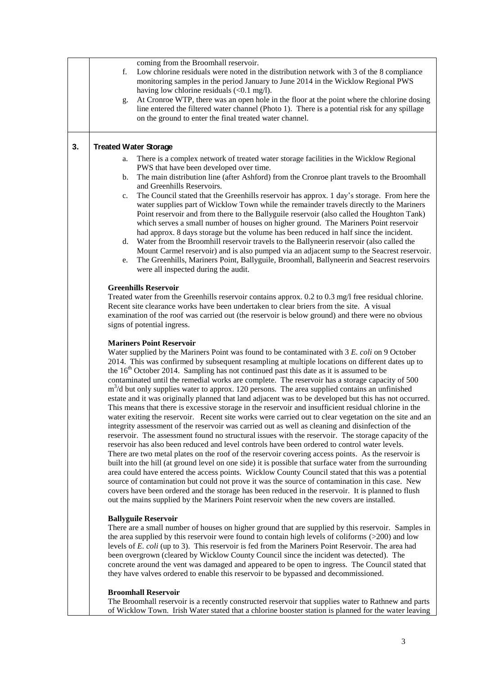|    | coming from the Broomhall reservoir.<br>Low chlorine residuals were noted in the distribution network with 3 of the 8 compliance<br>f.<br>monitoring samples in the period January to June 2014 in the Wicklow Regional PWS<br>having low chlorine residuals $(0.1 \text{ mg/l}).$<br>At Cronroe WTP, there was an open hole in the floor at the point where the chlorine dosing<br>g.                                                                                                                                                                                                                                                                                                                                                                                                                                                                                                                                                                                                                                                                                                                                                                                                                                                                                                                                                                                                                                                                                                                                                                                                                                                                                                                                                                                                                             |
|----|--------------------------------------------------------------------------------------------------------------------------------------------------------------------------------------------------------------------------------------------------------------------------------------------------------------------------------------------------------------------------------------------------------------------------------------------------------------------------------------------------------------------------------------------------------------------------------------------------------------------------------------------------------------------------------------------------------------------------------------------------------------------------------------------------------------------------------------------------------------------------------------------------------------------------------------------------------------------------------------------------------------------------------------------------------------------------------------------------------------------------------------------------------------------------------------------------------------------------------------------------------------------------------------------------------------------------------------------------------------------------------------------------------------------------------------------------------------------------------------------------------------------------------------------------------------------------------------------------------------------------------------------------------------------------------------------------------------------------------------------------------------------------------------------------------------------|
|    | line entered the filtered water channel (Photo 1). There is a potential risk for any spillage<br>on the ground to enter the final treated water channel.                                                                                                                                                                                                                                                                                                                                                                                                                                                                                                                                                                                                                                                                                                                                                                                                                                                                                                                                                                                                                                                                                                                                                                                                                                                                                                                                                                                                                                                                                                                                                                                                                                                           |
| 3. | <b>Treated Water Storage</b>                                                                                                                                                                                                                                                                                                                                                                                                                                                                                                                                                                                                                                                                                                                                                                                                                                                                                                                                                                                                                                                                                                                                                                                                                                                                                                                                                                                                                                                                                                                                                                                                                                                                                                                                                                                       |
|    | There is a complex network of treated water storage facilities in the Wicklow Regional<br>a.<br>PWS that have been developed over time.<br>The main distribution line (after Ashford) from the Cronroe plant travels to the Broomhall<br>$\mathbf{b}$ .<br>and Greenhills Reservoirs.<br>The Council stated that the Greenhills reservoir has approx. 1 day's storage. From here the<br>c.<br>water supplies part of Wicklow Town while the remainder travels directly to the Mariners<br>Point reservoir and from there to the Ballyguile reservoir (also called the Houghton Tank)<br>which serves a small number of houses on higher ground. The Mariners Point reservoir<br>had approx. 8 days storage but the volume has been reduced in half since the incident.                                                                                                                                                                                                                                                                                                                                                                                                                                                                                                                                                                                                                                                                                                                                                                                                                                                                                                                                                                                                                                             |
|    | Water from the Broomhill reservoir travels to the Ballyneerin reservoir (also called the<br>d.<br>Mount Carmel reservoir) and is also pumped via an adjacent sump to the Seacrest reservoir.<br>The Greenhills, Mariners Point, Ballyguile, Broomhall, Ballyneerin and Seacrest reservoirs<br>e.<br>were all inspected during the audit.                                                                                                                                                                                                                                                                                                                                                                                                                                                                                                                                                                                                                                                                                                                                                                                                                                                                                                                                                                                                                                                                                                                                                                                                                                                                                                                                                                                                                                                                           |
|    | <b>Greenhills Reservoir</b><br>Treated water from the Greenhills reservoir contains approx. 0.2 to 0.3 mg/l free residual chlorine.<br>Recent site clearance works have been undertaken to clear briers from the site. A visual<br>examination of the roof was carried out (the reservoir is below ground) and there were no obvious<br>signs of potential ingress.                                                                                                                                                                                                                                                                                                                                                                                                                                                                                                                                                                                                                                                                                                                                                                                                                                                                                                                                                                                                                                                                                                                                                                                                                                                                                                                                                                                                                                                |
|    | <b>Mariners Point Reservoir</b><br>Water supplied by the Mariners Point was found to be contaminated with 3 E. coli on 9 October<br>2014. This was confirmed by subsequent resampling at multiple locations on different dates up to<br>the $16th$ October 2014. Sampling has not continued past this date as it is assumed to be<br>contaminated until the remedial works are complete. The reservoir has a storage capacity of 500<br>$m3/d$ but only supplies water to approx. 120 persons. The area supplied contains an unfinished<br>estate and it was originally planned that land adjacent was to be developed but this has not occurred.<br>This means that there is excessive storage in the reservoir and insufficient residual chlorine in the<br>water exiting the reservoir. Recent site works were carried out to clear vegetation on the site and an<br>integrity assessment of the reservoir was carried out as well as cleaning and disinfection of the<br>reservoir. The assessment found no structural issues with the reservoir. The storage capacity of the<br>reservoir has also been reduced and level controls have been ordered to control water levels.<br>There are two metal plates on the roof of the reservoir covering access points. As the reservoir is<br>built into the hill (at ground level on one side) it is possible that surface water from the surrounding<br>area could have entered the access points. Wicklow County Council stated that this was a potential<br>source of contamination but could not prove it was the source of contamination in this case. New<br>covers have been ordered and the storage has been reduced in the reservoir. It is planned to flush<br>out the mains supplied by the Mariners Point reservoir when the new covers are installed. |
|    | <b>Ballyguile Reservoir</b><br>There are a small number of houses on higher ground that are supplied by this reservoir. Samples in<br>the area supplied by this reservoir were found to contain high levels of coliforms $($ >200 $)$ and low<br>levels of E. coli (up to 3). This reservoir is fed from the Mariners Point Reservoir. The area had<br>been overgrown (cleared by Wicklow County Council since the incident was detected). The<br>concrete around the vent was damaged and appeared to be open to ingress. The Council stated that<br>they have valves ordered to enable this reservoir to be bypassed and decommissioned.                                                                                                                                                                                                                                                                                                                                                                                                                                                                                                                                                                                                                                                                                                                                                                                                                                                                                                                                                                                                                                                                                                                                                                         |
|    | <b>Broomhall Reservoir</b><br>The Broomhall reservoir is a recently constructed reservoir that supplies water to Rathnew and parts<br>of Wicklow Town. Irish Water stated that a chlorine booster station is planned for the water leaving                                                                                                                                                                                                                                                                                                                                                                                                                                                                                                                                                                                                                                                                                                                                                                                                                                                                                                                                                                                                                                                                                                                                                                                                                                                                                                                                                                                                                                                                                                                                                                         |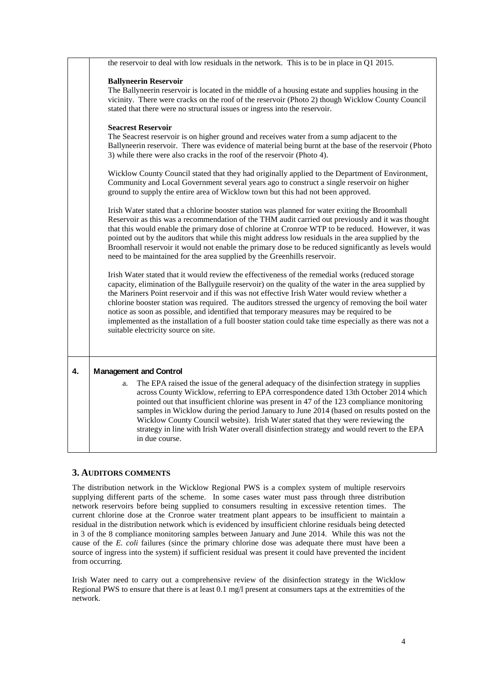|              | the reservoir to deal with low residuals in the network. This is to be in place in Q1 2015.                                                                                                                                                                                                                                                                                                                                                                                                                                                                                                                                                                       |
|--------------|-------------------------------------------------------------------------------------------------------------------------------------------------------------------------------------------------------------------------------------------------------------------------------------------------------------------------------------------------------------------------------------------------------------------------------------------------------------------------------------------------------------------------------------------------------------------------------------------------------------------------------------------------------------------|
|              | <b>Ballyneerin Reservoir</b><br>The Ballyneerin reservoir is located in the middle of a housing estate and supplies housing in the<br>vicinity. There were cracks on the roof of the reservoir (Photo 2) though Wicklow County Council<br>stated that there were no structural issues or ingress into the reservoir.                                                                                                                                                                                                                                                                                                                                              |
|              | <b>Seacrest Reservoir</b><br>The Seacrest reservoir is on higher ground and receives water from a sump adjacent to the<br>Ballyneerin reservoir. There was evidence of material being burnt at the base of the reservoir (Photo<br>3) while there were also cracks in the roof of the reservoir (Photo 4).                                                                                                                                                                                                                                                                                                                                                        |
|              | Wicklow County Council stated that they had originally applied to the Department of Environment,<br>Community and Local Government several years ago to construct a single reservoir on higher<br>ground to supply the entire area of Wicklow town but this had not been approved.                                                                                                                                                                                                                                                                                                                                                                                |
|              | Irish Water stated that a chlorine booster station was planned for water exiting the Broomhall<br>Reservoir as this was a recommendation of the THM audit carried out previously and it was thought<br>that this would enable the primary dose of chlorine at Cronroe WTP to be reduced. However, it was<br>pointed out by the auditors that while this might address low residuals in the area supplied by the<br>Broomhall reservoir it would not enable the primary dose to be reduced significantly as levels would<br>need to be maintained for the area supplied by the Greenhills reservoir.                                                               |
|              | Irish Water stated that it would review the effectiveness of the remedial works (reduced storage<br>capacity, elimination of the Ballyguile reservoir) on the quality of the water in the area supplied by<br>the Mariners Point reservoir and if this was not effective Irish Water would review whether a<br>chlorine booster station was required. The auditors stressed the urgency of removing the boil water<br>notice as soon as possible, and identified that temporary measures may be required to be<br>implemented as the installation of a full booster station could take time especially as there was not a<br>suitable electricity source on site. |
| $\mathbf{4}$ | <b>Management and Control</b><br>The EPA raised the issue of the general adequacy of the disinfection strategy in supplies<br>a.<br>across County Wicklow, referring to EPA correspondence dated 13th October 2014 which<br>pointed out that insufficient chlorine was present in 47 of the 123 compliance monitoring<br>samples in Wicklow during the period January to June 2014 (based on results posted on the<br>Wicklow County Council website). Irish Water stated that they were reviewing the<br>strategy in line with Irish Water overall disinfection strategy and would revert to the EPA<br>in due course.                                           |

# **3. AUDITORS COMMENTS**

The distribution network in the Wicklow Regional PWS is a complex system of multiple reservoirs supplying different parts of the scheme. In some cases water must pass through three distribution network reservoirs before being supplied to consumers resulting in excessive retention times. The current chlorine dose at the Cronroe water treatment plant appears to be insufficient to maintain a residual in the distribution network which is evidenced by insufficient chlorine residuals being detected in 3 of the 8 compliance monitoring samples between January and June 2014. While this was not the cause of the *E. coli* failures (since the primary chlorine dose was adequate there must have been a source of ingress into the system) if sufficient residual was present it could have prevented the incident from occurring.

Irish Water need to carry out a comprehensive review of the disinfection strategy in the Wicklow Regional PWS to ensure that there is at least 0.1 mg/l present at consumers taps at the extremities of the network.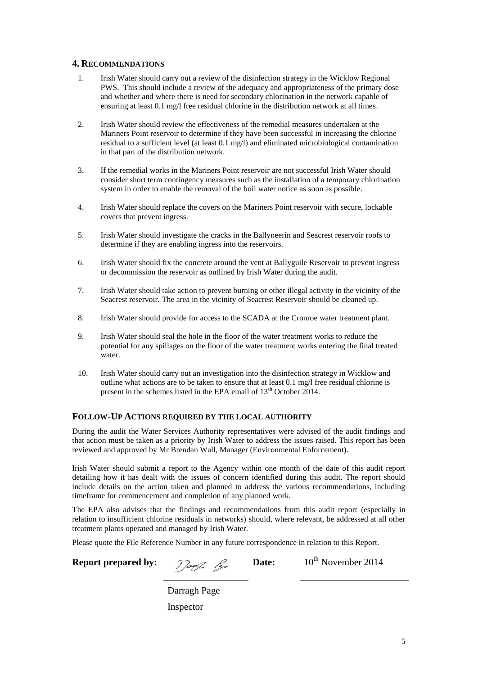## **4. RECOMMENDATIONS**

- 1. Irish Water should carry out a review of the disinfection strategy in the Wicklow Regional PWS. This should include a review of the adequacy and appropriateness of the primary dose and whether and where there is need for secondary chlorination in the network capable of ensuring at least 0.1 mg/l free residual chlorine in the distribution network at all times.
- 2. Irish Water should review the effectiveness of the remedial measures undertaken at the Mariners Point reservoir to determine if they have been successful in increasing the chlorine residual to a sufficient level (at least 0.1 mg/l) and eliminated microbiological contamination in that part of the distribution network.
- 3. If the remedial works in the Mariners Point reservoir are not successful Irish Water should consider short term contingency measures such as the installation of a temporary chlorination system in order to enable the removal of the boil water notice as soon as possible.
- 4. Irish Water should replace the covers on the Mariners Point reservoir with secure, lockable covers that prevent ingress.
- 5. Irish Water should investigate the cracks in the Ballyneerin and Seacrest reservoir roofs to determine if they are enabling ingress into the reservoirs.
- 6. Irish Water should fix the concrete around the vent at Ballyguile Reservoir to prevent ingress or decommission the reservoir as outlined by Irish Water during the audit.
- 7. Irish Water should take action to prevent burning or other illegal activity in the vicinity of the Seacrest reservoir. The area in the vicinity of Seacrest Reservoir should be cleaned up.
- 8. Irish Water should provide for access to the SCADA at the Cronroe water treatment plant.
- 9. Irish Water should seal the hole in the floor of the water treatment works to reduce the potential for any spillages on the floor of the water treatment works entering the final treated water.
- 10. Irish Water should carry out an investigation into the disinfection strategy in Wicklow and outline what actions are to be taken to ensure that at least  $0.1 \text{ mg/l}$  free residual chlorine is present in the schemes listed in the EPA email of  $13<sup>th</sup>$  October 2014.

## **FOLLOW-UP ACTIONS REQUIRED BY THE LOCAL AUTHORITY**

During the audit the Water Services Authority representatives were advised of the audit findings and that action must be taken as a priority by Irish Water to address the issues raised. This report has been reviewed and approved by Mr Brendan Wall, Manager (Environmental Enforcement).

Irish Water should submit a report to the Agency within one month of the date of this audit report detailing how it has dealt with the issues of concern identified during this audit. The report should include details on the action taken and planned to address the various recommendations, including timeframe for commencement and completion of any planned work.

The EPA also advises that the findings and recommendations from this audit report (especially in relation to insufficient chlorine residuals in networks) should, where relevant, be addressed at all other treatment plants operated and managed by Irish Water.

Please quote the File Reference Number in any future correspondence in relation to this Report.

# **Report prepared by:**  $\sqrt{2\pi}$   $\frac{2}{3}$  **Date:**  $10^{th}$  November 2014

Darragh Page Inspector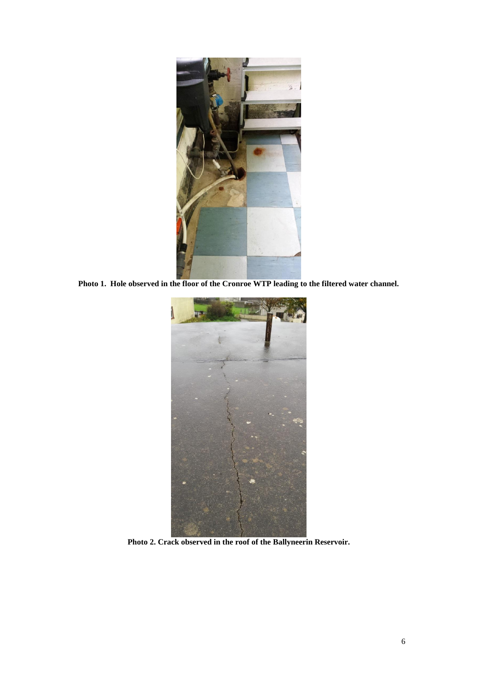

**Photo 1. Hole observed in the floor of the Cronroe WTP leading to the filtered water channel.**



**Photo 2. Crack observed in the roof of the Ballyneerin Reservoir.**